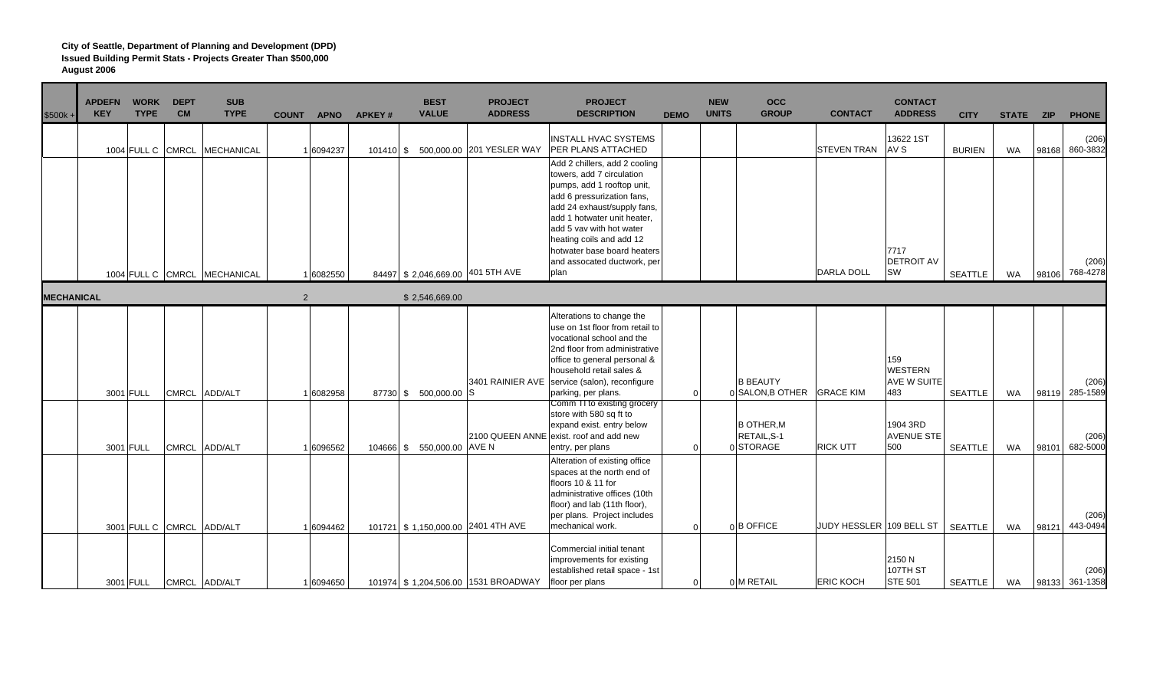| \$500k+           | <b>APDEFN</b><br><b>KEY</b> | <b>WORK</b><br><b>TYPE</b> | <b>DEPT</b><br><b>CM</b> | <b>SUB</b><br><b>TYPE</b>    | <b>COUNT</b> | <b>APNO</b> | <b>APKEY#</b> | <b>BEST</b><br><b>VALUE</b>        | <b>PROJECT</b><br><b>ADDRESS</b>    | <b>PROJECT</b><br><b>DESCRIPTION</b>                                                                                                                                                                                                                                                                               | <b>DEMO</b>    | <b>NEW</b><br><b>UNITS</b> | <b>OCC</b><br><b>GROUP</b>                   | <b>CONTACT</b>           | <b>CONTACT</b><br><b>ADDRESS</b>            | <b>CITY</b>    | STATE ZIP |       | <b>PHONE</b>            |
|-------------------|-----------------------------|----------------------------|--------------------------|------------------------------|--------------|-------------|---------------|------------------------------------|-------------------------------------|--------------------------------------------------------------------------------------------------------------------------------------------------------------------------------------------------------------------------------------------------------------------------------------------------------------------|----------------|----------------------------|----------------------------------------------|--------------------------|---------------------------------------------|----------------|-----------|-------|-------------------------|
|                   |                             | 1004 FULL C CMRCL          |                          | MECHANICAL                   |              | 16094237    |               |                                    | 101410 \$ 500,000.00 201 YESLER WAY | <b>INSTALL HVAC SYSTEMS</b><br>PER PLANS ATTACHED                                                                                                                                                                                                                                                                  |                |                            |                                              | <b>STEVEN TRAN</b>       | 13622 1ST<br>AV S                           | <b>BURIEN</b>  | WA        | 98168 | (206)<br>860-3832       |
|                   |                             |                            |                          | 1004 FULL C CMRCL MECHANICAL |              | 1 6082550   |               | 84497 \$2,046,669.00 401 5TH AVE   |                                     | Add 2 chillers, add 2 cooling<br>towers, add 7 circulation<br>pumps, add 1 rooftop unit,<br>add 6 pressurization fans,<br>add 24 exhaust/supply fans,<br>add 1 hotwater unit heater,<br>add 5 vav with hot water<br>heating coils and add 12<br>hotwater base board heaters<br>and assocated ductwork, per<br>plan |                |                            |                                              | <b>DARLA DOLL</b>        | 7717<br><b>DETROIT AV</b><br>SW             | <b>SEATTLE</b> | WA        | 98106 | (206)<br>768-4278       |
| <b>MECHANICAL</b> |                             |                            |                          |                              | 2            |             |               | \$2,546,669.00                     |                                     |                                                                                                                                                                                                                                                                                                                    |                |                            |                                              |                          |                                             |                |           |       |                         |
|                   |                             | 3001 FULL                  |                          | CMRCL ADD/ALT                |              | 1 6082958   |               | 87730 \$ 500,000.00 S              | 3401 RAINIER AVE                    | Alterations to change the<br>use on 1st floor from retail to<br>vocational school and the<br>2nd floor from administrative<br>office to general personal &<br>household retail sales &<br>service (salon), reconfigure<br>parking, per plans.<br>Comm TI to existing grocery                                       | $\Omega$       |                            | <b>B BEAUTY</b><br>0 SALON, B OTHER          | <b>GRACE KIM</b>         | 159<br><b>WESTERN</b><br>AVE W SUITE<br>483 | <b>SEATTLE</b> | <b>WA</b> | 98119 | (206)<br>285-1589       |
|                   | 3001 FULL                   |                            |                          | CMRCL ADD/ALT                |              | 1 6096562   |               | 104666 \$ 550,000.00 AVE N         |                                     | store with 580 sq ft to<br>expand exist. entry below<br>2100 QUEEN ANNE exist. roof and add new<br>entry, per plans                                                                                                                                                                                                | $\Omega$       |                            | <b>B OTHER.M</b><br>RETAIL, S-1<br>0 STORAGE | <b>RICK UTT</b>          | 1904 3RD<br><b>AVENUE STE</b><br>500        | <b>SEATTLE</b> | <b>WA</b> | 98101 | (206)<br>682-5000       |
|                   |                             |                            | 3001 FULL C CMRCL        | ADD/ALT                      |              | 1 6094462   |               | 101721 \$1,150,000.00 2401 4TH AVE |                                     | Alteration of existing office<br>spaces at the north end of<br>floors 10 & 11 for<br>administrative offices (10th<br>floor) and lab (11th floor),<br>per plans. Project includes<br>mechanical work.                                                                                                               | $\Omega$       |                            | 0B OFFICE                                    | JUDY HESSLER 109 BELL ST |                                             | <b>SEATTLE</b> | <b>WA</b> | 98121 | (206)<br>443-0494       |
|                   |                             | 3001 FULL                  |                          | CMRCL ADD/ALT                |              | 1 6094650   |               |                                    | 101974 \$1,204,506.00 1531 BROADWAY | Commercial initial tenant<br>improvements for existing<br>established retail space - 1st<br>floor per plans                                                                                                                                                                                                        | $\overline{0}$ |                            | 0 M RETAIL                                   | <b>ERIC KOCH</b>         | 2150 N<br>107TH ST<br><b>STE 501</b>        | SEATTLE        | WA        |       | (206)<br>98133 361-1358 |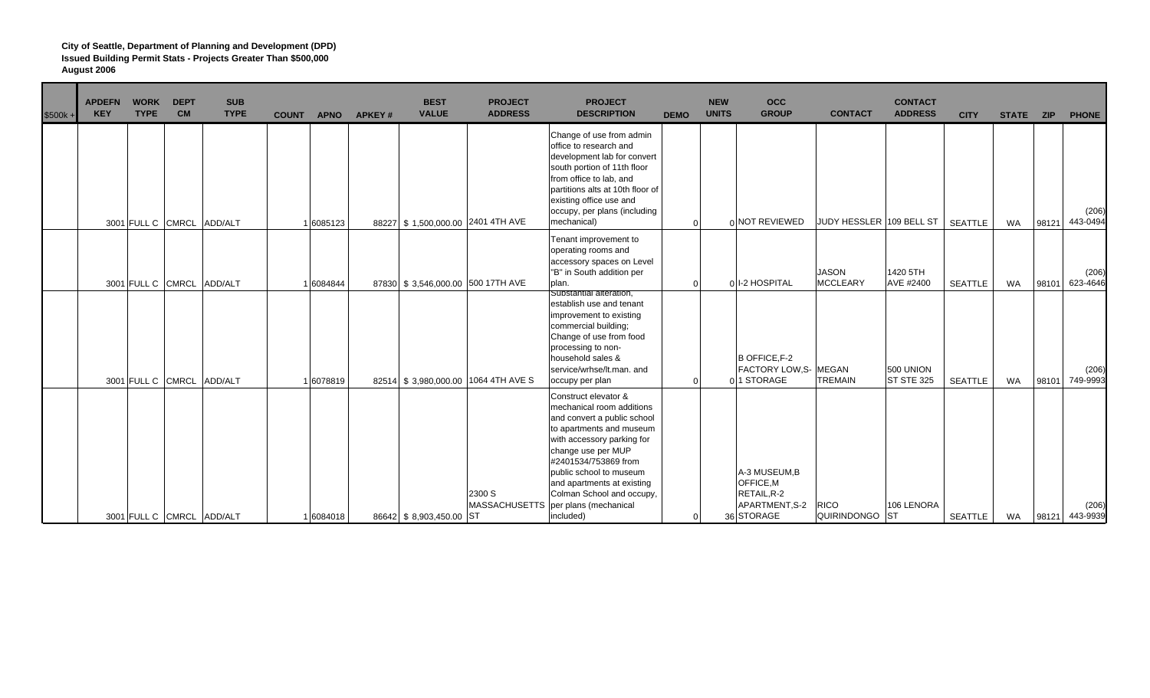| $$500k +$ | <b>APDEFN</b><br><b>KEY</b> | <b>WORK</b><br><b>TYPE</b> | <b>DEPT</b><br><b>CM</b> | <b>SUB</b><br><b>TYPE</b> | <b>COUNT</b> | <b>APNO</b> | <b>APKEY#</b> | <b>BEST</b><br><b>VALUE</b> | <b>PROJECT</b><br><b>ADDRESS</b>    | <b>PROJECT</b><br><b>DESCRIPTION</b>                                                                                                                                                                                                                                           | <b>DEMO</b> | <b>NEW</b><br><b>UNITS</b> | <b>OCC</b><br><b>GROUP</b>                                        | <b>CONTACT</b>                  | <b>CONTACT</b><br><b>ADDRESS</b> | <b>CITY</b>    | STATE ZIP |       | <b>PHONE</b>      |
|-----------|-----------------------------|----------------------------|--------------------------|---------------------------|--------------|-------------|---------------|-----------------------------|-------------------------------------|--------------------------------------------------------------------------------------------------------------------------------------------------------------------------------------------------------------------------------------------------------------------------------|-------------|----------------------------|-------------------------------------------------------------------|---------------------------------|----------------------------------|----------------|-----------|-------|-------------------|
|           |                             |                            |                          | 3001 FULL C CMRCL ADD/ALT |              | 16085123    |               |                             | 88227 \$1,500,000.00 2401 4TH AVE   | Change of use from admin<br>office to research and<br>development lab for convert<br>south portion of 11th floor<br>from office to lab, and<br>partitions alts at 10th floor of<br>existing office use and<br>occupy, per plans (including<br>mechanical)                      | $\Omega$    |                            | 0 NOT REVIEWED                                                    | JUDY HESSLER 109 BELL ST        |                                  | <b>SEATTLE</b> | <b>WA</b> | 98121 | (206)<br>443-0494 |
|           |                             | 3001 FULL C CMRCL          |                          | ADD/ALT                   |              | 6084844     |               |                             | 87830 \$3,546,000.00 500 17TH AVE   | Tenant improvement to<br>operating rooms and<br>accessory spaces on Level<br>"B" in South addition per<br>plan.                                                                                                                                                                | $\Omega$    |                            | 0 I-2 HOSPITAL                                                    | <b>JASON</b><br><b>MCCLEARY</b> | 1420 5TH<br>AVE #2400            | <b>SEATTLE</b> | <b>WA</b> | 98101 | (206)<br>623-4646 |
|           |                             | 3001 FULL C CMRCL          |                          | ADD/ALT                   |              | 16078819    |               |                             | 82514 \$3,980,000.00 1064 4TH AVE S | Substantial alteration,<br>establish use and tenant<br>improvement to existing<br>commercial building;<br>Change of use from food<br>processing to non-<br>household sales &<br>service/wrhse/lt.man. and<br>occupy per plan                                                   | $\Omega$    |                            | <b>B OFFICE F-2</b><br><b>FACTORY LOW, S- MEGAN</b><br>01 STORAGE | <b>TREMAIN</b>                  | 500 UNION<br><b>ST STE 325</b>   | <b>SEATTLE</b> | <b>WA</b> | 98101 | (206)<br>749-9993 |
|           |                             |                            |                          |                           |              |             |               |                             | 2300 S                              | Construct elevator &<br>mechanical room additions<br>and convert a public school<br>to apartments and museum<br>with accessory parking for<br>change use per MUP<br>#2401534/753869 from<br>public school to museum<br>and apartments at existing<br>Colman School and occupy, |             |                            | A-3 MUSEUM,B<br>OFFICE, M<br>RETAIL, R-2                          |                                 |                                  |                |           |       |                   |
|           |                             |                            |                          | 3001 FULL C CMRCL ADD/ALT |              | 6084018     |               | 86642 \$ 8,903,450.00 ST    | <b>MASSACHUSETTS</b>                | per plans (mechanical<br>included)                                                                                                                                                                                                                                             |             |                            | APARTMENT, S-2<br>36 STORAGE                                      | <b>RICO</b><br>QUIRINDONGO ST   | 106 LENORA                       | <b>SEATTLE</b> | WA        | 98121 | (206)<br>443-9939 |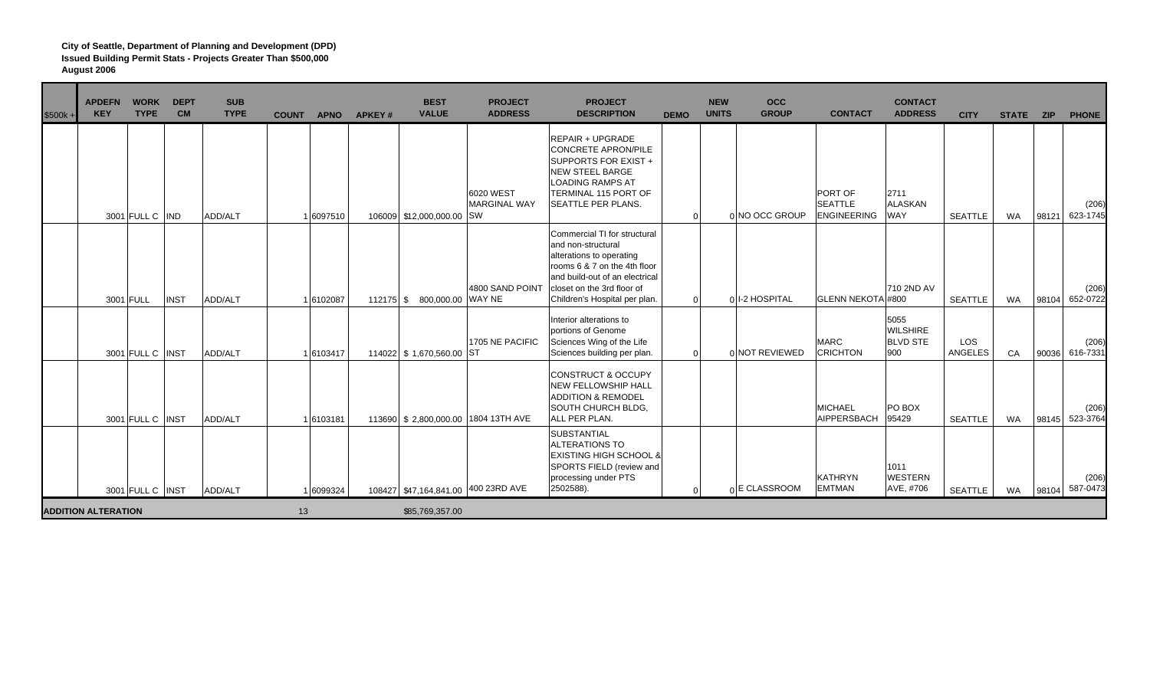| $$500k +$ | <b>APDEFN</b><br><b>KEY</b> | <b>WORK</b><br><b>TYPE</b> | <b>DEPT</b><br><b>CM</b> | <b>SUB</b><br><b>TYPE</b> | <b>COUNT</b> | <b>APNO</b> | APKEY# | <b>BEST</b><br><b>VALUE</b> | <b>PROJECT</b><br><b>ADDRESS</b>    | <b>PROJECT</b><br><b>DESCRIPTION</b>                                                                                                                                                                            | <b>DEMO</b> | <b>NEW</b><br><b>UNITS</b> | <b>OCC</b><br><b>GROUP</b> | <b>CONTACT</b>                                  | <b>CONTACT</b><br><b>ADDRESS</b>                  | <b>CITY</b>           | STATE ZIP |       | <b>PHONE</b>            |
|-----------|-----------------------------|----------------------------|--------------------------|---------------------------|--------------|-------------|--------|-----------------------------|-------------------------------------|-----------------------------------------------------------------------------------------------------------------------------------------------------------------------------------------------------------------|-------------|----------------------------|----------------------------|-------------------------------------------------|---------------------------------------------------|-----------------------|-----------|-------|-------------------------|
|           |                             | 3001 FULL C IND            |                          | ADD/ALT                   |              | 1 6097510   |        | 106009 \$12,000,000.00 SW   | 6020 WEST<br><b>MARGINAL WAY</b>    | <b>REPAIR + UPGRADE</b><br><b>CONCRETE APRON/PILE</b><br>SUPPORTS FOR EXIST +<br><b>NEW STEEL BARGE</b><br><b>LOADING RAMPS AT</b><br>TERMINAL 115 PORT OF<br>SEATTLE PER PLANS.                                | $\Omega$    |                            | 0 NO OCC GROUP             | PORT OF<br><b>SEATTLE</b><br><b>ENGINEERING</b> | 2711<br><b>ALASKAN</b><br><b>WAY</b>              | <b>SEATTLE</b>        | WA        | 98121 | (206)<br>623-1745       |
|           |                             | 3001 FULL                  | <b>INST</b>              | ADD/ALT                   |              | 1 6102087   |        | 112175 \$ 800,000.00 WAY NE | 4800 SAND POINT                     | Commercial TI for structural<br>and non-structural<br>alterations to operating<br>rooms 6 & 7 on the 4th floor<br>and build-out of an electrical<br>closet on the 3rd floor of<br>Children's Hospital per plan. |             | $\Omega$                   | 01-2 HOSPITAL              | GLENN NEKOTA #800                               | 710 2ND AV                                        | <b>SEATTLE</b>        | WA        | 98104 | (206)<br>652-0722       |
|           |                             | 3001 FULL C INST           |                          | ADD/ALT                   |              | 1 6103417   |        | 114022 \$1,670,560.00       | 1705 NE PACIFIC<br><b>ST</b>        | Interior alterations to<br>portions of Genome<br>Sciences Wing of the Life<br>Sciences building per plan.                                                                                                       | $\Omega$    |                            | 0 NOT REVIEWED             | <b>MARC</b><br><b>CRICHTON</b>                  | 5055<br><b>WILSHIRE</b><br><b>BLVD STE</b><br>900 | LOS<br><b>ANGELES</b> | CA        | 90036 | (206)<br>616-7331       |
|           |                             | 3001 FULL C INST           |                          | ADD/ALT                   |              | 1 6103181   |        |                             | 113690 \$2,800,000.00 1804 13TH AVE | <b>CONSTRUCT &amp; OCCUPY</b><br><b>NEW FELLOWSHIP HALL</b><br><b>ADDITION &amp; REMODEL</b><br>SOUTH CHURCH BLDG,<br>ALL PER PLAN.                                                                             |             |                            |                            | <b>MICHAEL</b><br>AIPPERSBACH                   | PO BOX<br>95429                                   | <b>SEATTLE</b>        | WA        | 98145 | (206)<br>523-3764       |
|           |                             | 3001 FULL C INST           |                          | ADD/ALT                   |              | 1 6099324   |        |                             | 108427 \$47,164,841.00 400 23RD AVE | SUBSTANTIAL<br><b>ALTERATIONS TO</b><br><b>EXISTING HIGH SCHOOL &amp;</b><br>SPORTS FIELD (review and<br>processing under PTS<br>2502588).                                                                      |             |                            | n E CLASSROOM              | <b>KATHRYN</b><br><b>EMTMAN</b>                 | 1011<br><b>WESTERN</b><br>AVE, #706               | <b>SEATTLE</b>        | WA        |       | (206)<br>98104 587-0473 |
|           | <b>ADDITION ALTERATION</b>  |                            |                          |                           | 13           |             |        | \$85,769,357.00             |                                     |                                                                                                                                                                                                                 |             |                            |                            |                                                 |                                                   |                       |           |       |                         |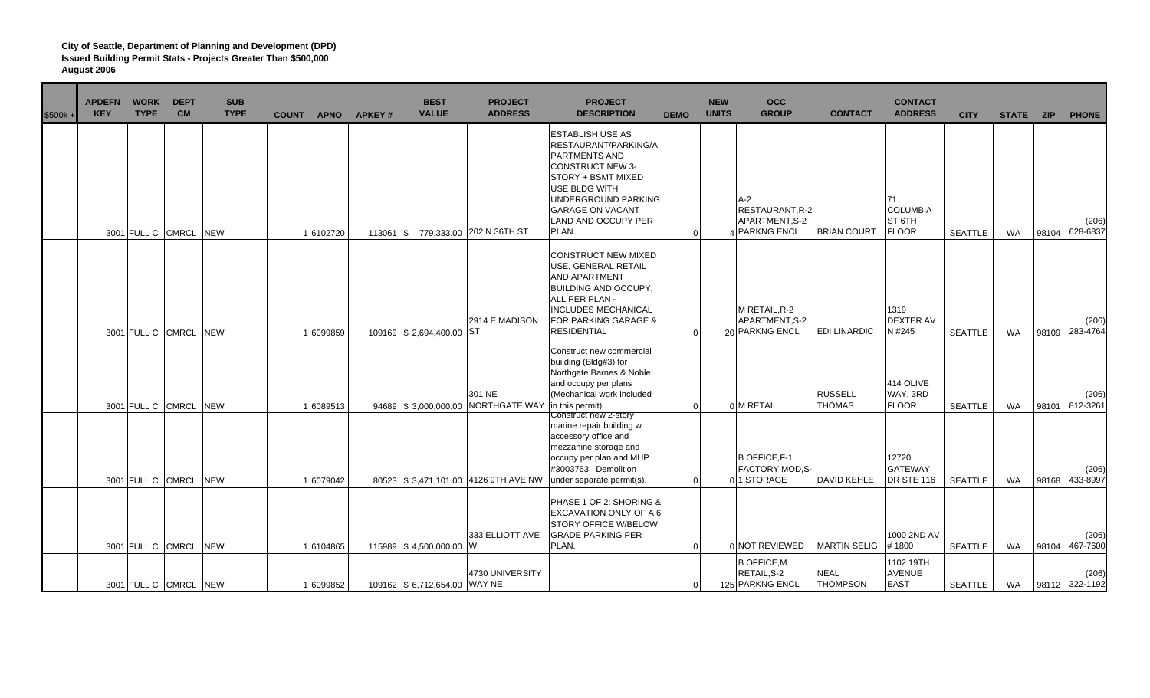| $$500k +$ | <b>APDEFN</b><br><b>WORK</b><br><b>TYPE</b><br><b>KEY</b> | <b>DEPT</b><br><b>CM</b> | <b>SUB</b><br><b>TYPE</b> | <b>COUNT</b> | <b>APNO</b> | APKEY# | <b>BEST</b><br><b>VALUE</b>   | <b>PROJECT</b><br><b>ADDRESS</b>     | <b>PROJECT</b><br><b>DESCRIPTION</b>                                                                                                                                                                                 | <b>DEMO</b> | <b>NEW</b><br><b>UNITS</b> | <b>OCC</b><br><b>GROUP</b>                                         | <b>CONTACT</b>                  | <b>CONTACT</b><br><b>ADDRESS</b>                           | <b>CITY</b>    | STATE ZIP |       | <b>PHONE</b>            |
|-----------|-----------------------------------------------------------|--------------------------|---------------------------|--------------|-------------|--------|-------------------------------|--------------------------------------|----------------------------------------------------------------------------------------------------------------------------------------------------------------------------------------------------------------------|-------------|----------------------------|--------------------------------------------------------------------|---------------------------------|------------------------------------------------------------|----------------|-----------|-------|-------------------------|
|           | 3001 FULL C CMRCL NEW                                     |                          |                           |              | 1 6102720   |        |                               | 113061 \$779,333.00 202 N 36TH ST    | <b>ESTABLISH USE AS</b><br>RESTAURANT/PARKING/A<br>PARTMENTS AND<br><b>CONSTRUCT NEW 3-</b><br>STORY + BSMT MIXED<br>USE BLDG WITH<br>UNDERGROUND PARKING<br><b>GARAGE ON VACANT</b><br>LAND AND OCCUPY PER<br>PLAN. | $\Omega$    |                            | $A-2$<br><b>RESTAURANT, R-2</b><br>APARTMENT, S-2<br>4 PARKNG ENCL | <b>BRIAN COURT</b>              | 71<br><b>COLUMBIA</b><br>ST <sub>6TH</sub><br><b>FLOOR</b> | <b>SEATTLE</b> | <b>WA</b> | 98104 | (206)<br>628-6837       |
|           | 3001 FULL C CMRCL NEW                                     |                          |                           |              | 1 6099859   |        | 109169 \$2,694,400.00 ST      | 2914 E MADISON                       | CONSTRUCT NEW MIXED<br>USE, GENERAL RETAIL<br>AND APARTMENT<br><b>BUILDING AND OCCUPY,</b><br>ALL PER PLAN -<br><b>INCLUDES MECHANICAL</b><br>FOR PARKING GARAGE &<br>RESIDENTIAL                                    | $\Omega$    |                            | M RETAIL, R-2<br>APARTMENT, S-2<br>20 PARKNG ENCL                  | <b>EDI LINARDIC</b>             | 1319<br><b>DEXTER AV</b><br>N #245                         | <b>SEATTLE</b> | WA        | 98109 | (206)<br>283-4764       |
|           | 3001 FULL C CMRCL NEW                                     |                          |                           |              | 1 6089513   |        | 94689 \$3,000,000.00          | 301 NE<br>NORTHGATE WAY              | Construct new commercial<br>building (Bldg#3) for<br>Northgate Barnes & Noble,<br>and occupy per plans<br>(Mechanical work included<br>in this permit).                                                              | $\Omega$    |                            | 0 M RETAIL                                                         | <b>RUSSELL</b><br><b>THOMAS</b> | 414 OLIVE<br>WAY, 3RD<br><b>FLOOR</b>                      | <b>SEATTLE</b> | WA        | 98101 | (206)<br>812-3261       |
|           | 3001 FULL C CMRCL NEW                                     |                          |                           |              | 1 6079042   |        |                               | 80523 \$3,471,101.00 4126 9TH AVE NW | Construct new 2-story<br>marine repair building w<br>accessory office and<br>mezzanine storage and<br>occupy per plan and MUP<br>#3003763. Demolition<br>under separate permit(s).                                   | $\Omega$    |                            | <b>B OFFICE, F-1</b><br><b>FACTORY MOD.S-</b><br>01 STORAGE        | <b>DAVID KEHLE</b>              | 12720<br><b>GATEWAY</b><br><b>DR STE 116</b>               | <b>SEATTLE</b> | WA        | 98168 | (206)<br>433-8997       |
|           | 3001 FULL C CMRCL NEW                                     |                          |                           |              | 1 6104865   |        | 115989 \$4,500,000.00 W       | 333 ELLIOTT AVE                      | PHASE 1 OF 2: SHORING &<br>EXCAVATION ONLY OF A 6<br>STORY OFFICE W/BELOW<br><b>GRADE PARKING PER</b><br>PLAN.                                                                                                       | $\Omega$    |                            | 0 NOT REVIEWED                                                     | <b>MARTIN SELIG</b>             | 1000 2ND AV<br>#1800                                       | SEATTLE        | WA        | 98104 | (206)<br>467-7600       |
|           | 3001 FULL C CMRCL NEW                                     |                          |                           |              | 1 6099852   |        | 109162 \$ 6,712,654.00 WAY NE | 4730 UNIVERSITY                      |                                                                                                                                                                                                                      |             |                            | <b>B OFFICE, M</b><br>RETAIL, S-2<br>125 PARKNG ENCL               | <b>NEAL</b><br><b>THOMPSON</b>  | 1102 19TH<br><b>AVENUE</b><br><b>EAST</b>                  | SEATTLE        | WA        |       | (206)<br>98112 322-1192 |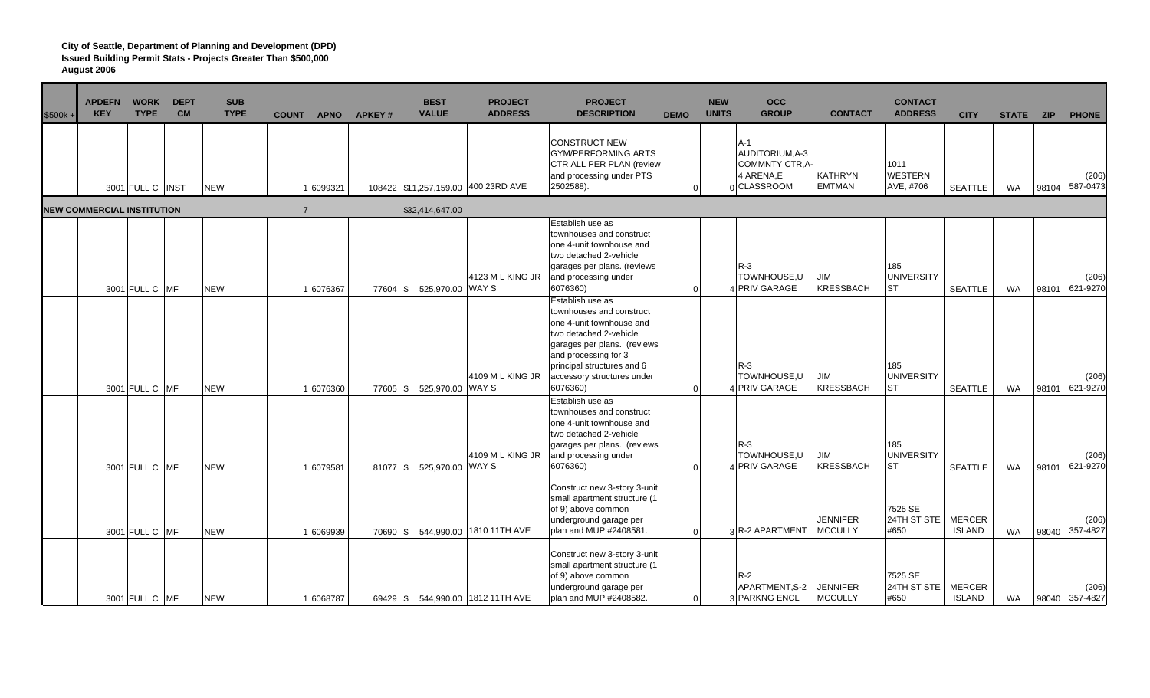| $$500k +$ | <b>APDEFN</b><br><b>WORK</b><br><b>KEY</b><br><b>TYPE</b> | <b>DEPT</b><br><b>CM</b> | <b>SUB</b><br><b>TYPE</b> | <b>COUNT</b>   | <b>APNO</b> | <b>APKEY#</b> | <b>BEST</b><br><b>VALUE</b> | <b>PROJECT</b><br><b>ADDRESS</b>    | <b>PROJECT</b><br><b>DESCRIPTION</b>                                                                                                                                                                                              | <b>DEMO</b> | <b>NEW</b><br><b>UNITS</b> | <b>OCC</b><br><b>GROUP</b>                                            | <b>CONTACT</b>                    | <b>CONTACT</b><br><b>ADDRESS</b>      | <b>CITY</b>                    | STATE ZIP |       | <b>PHONE</b>            |
|-----------|-----------------------------------------------------------|--------------------------|---------------------------|----------------|-------------|---------------|-----------------------------|-------------------------------------|-----------------------------------------------------------------------------------------------------------------------------------------------------------------------------------------------------------------------------------|-------------|----------------------------|-----------------------------------------------------------------------|-----------------------------------|---------------------------------------|--------------------------------|-----------|-------|-------------------------|
|           | 3001 FULL C INST                                          |                          | <b>NEW</b>                |                | 1 6099321   |               |                             | 108422 \$11,257,159.00 400 23RD AVE | <b>CONSTRUCT NEW</b><br><b>GYM/PERFORMING ARTS</b><br>CTR ALL PER PLAN (review<br>and processing under PTS<br>2502588).                                                                                                           |             |                            | A-1<br>AUDITORIUM, A-3<br>COMMNTY CTR, A-<br>4 ARENA.E<br>0 CLASSROOM | <b>KATHRYN</b><br><b>EMTMAN</b>   | 1011<br><b>WESTERN</b><br>AVE, #706   | <b>SEATTLE</b>                 | WA        | 98104 | (206)<br>587-0473       |
|           | <b>NEW COMMERCIAL INSTITUTION</b>                         |                          |                           | $\overline{7}$ |             |               | \$32,414,647.00             |                                     |                                                                                                                                                                                                                                   |             |                            |                                                                       |                                   |                                       |                                |           |       |                         |
|           | 3001 FULL C MF                                            |                          | <b>NEW</b>                |                | 1 6076367   |               | 77604 \$ 525,970.00 WAY S   | 4123 ML KING JR                     | Establish use as<br>townhouses and construct<br>one 4-unit townhouse and<br>two detached 2-vehicle<br>garages per plans. (reviews<br>and processing under<br>6076360)                                                             |             | $\Omega$                   | $R-3$<br>TOWNHOUSE,U<br>4 PRIV GARAGE                                 | JIM<br><b>KRESSBACH</b>           | 185<br><b>UNIVERSITY</b><br><b>ST</b> | <b>SEATTLE</b>                 | WA        | 98101 | (206)<br>621-9270       |
|           | 3001 FULL C MF                                            |                          | <b>NEW</b>                |                | 1 6076360   |               | 77605 \$ 525,970.00 WAY S   | 4109 M L KING JR                    | Establish use as<br>townhouses and construct<br>one 4-unit townhouse and<br>two detached 2-vehicle<br>garages per plans. (reviews<br>and processing for 3<br>principal structures and 6<br>accessory structures under<br>6076360) |             | $\Omega$                   | $R-3$<br>TOWNHOUSE,U<br>4 PRIV GARAGE                                 | <b>JIM</b><br><b>KRESSBACH</b>    | 185<br><b>UNIVERSITY</b><br><b>ST</b> | <b>SEATTLE</b>                 | WA        | 98101 | (206)<br>621-9270       |
|           | 3001 FULL C MF                                            |                          | <b>NEW</b>                |                | 1 6079581   |               | 81077 \$ 525,970.00 WAY S   | 4109 M L KING JR                    | Establish use as<br>townhouses and construct<br>one 4-unit townhouse and<br>two detached 2-vehicle<br>garages per plans. (reviews<br>and processing under<br>6076360)                                                             |             | $\Omega$                   | $R-3$<br>TOWNHOUSE,U<br>4 PRIV GARAGE                                 | <b>JIM</b><br>KRESSBACH           | 185<br>UNIVERSITY<br><b>ST</b>        | <b>SEATTLE</b>                 | <b>WA</b> | 98101 | (206)<br>621-9270       |
|           | 3001 FULL C MF                                            |                          | <b>NEW</b>                |                | 1 6069939   |               |                             | 70690 \$ 544,990.00 1810 11TH AVE   | Construct new 3-story 3-unit<br>small apartment structure (1<br>of 9) above common<br>underground garage per<br>plan and MUP #2408581                                                                                             |             | $\Omega$                   | 3 R-2 APARTMENT                                                       | <b>JENNIFER</b><br><b>MCCULLY</b> | 7525 SE<br>24TH ST STE<br>#650        | <b>MERCER</b><br><b>ISLAND</b> | <b>WA</b> | 98040 | (206)<br>357-4827       |
|           | 3001 FULL C MF                                            |                          | <b>NEW</b>                |                | 1 6068787   |               |                             | 69429 \$ 544,990.00 1812 11TH AVE   | Construct new 3-story 3-unit<br>small apartment structure (1<br>of 9) above common<br>underground garage per<br>plan and MUP #2408582.                                                                                            |             | $\Omega$                   | $R-2$<br>APARTMENT, S-2<br>3 PARKNG ENCL                              | <b>JENNIFER</b><br><b>MCCULLY</b> | 7525 SE<br>24TH ST STE<br>#650        | <b>MERCER</b><br><b>ISLAND</b> | <b>WA</b> |       | (206)<br>98040 357-4827 |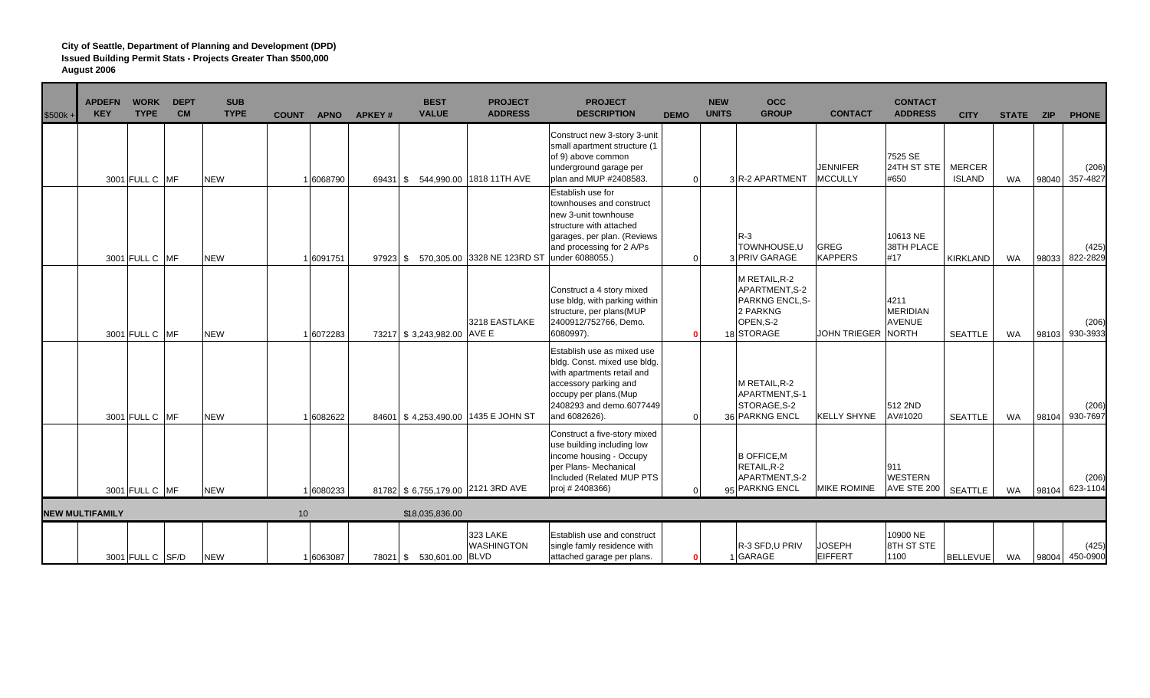| \$500k - | <b>APDEFN</b><br><b>KEY</b> | <b>WORK</b><br><b>TYPE</b> | <b>DEPT</b><br><b>CM</b> | <b>SUB</b><br><b>TYPE</b> | <b>COUNT</b> | <b>APNO</b> | <b>APKEY#</b> | <b>BEST</b><br><b>VALUE</b> | <b>PROJECT</b><br><b>ADDRESS</b>    | <b>PROJECT</b><br><b>DESCRIPTION</b>                                                                                                                                                    | <b>DEMO</b> | <b>NEW</b><br><b>UNITS</b> | <b>OCC</b><br><b>GROUP</b>                                                                     | <b>CONTACT</b>                    | <b>CONTACT</b><br><b>ADDRESS</b>                  | <b>CITY</b>                    | STATE ZIP |       | <b>PHONE</b>      |
|----------|-----------------------------|----------------------------|--------------------------|---------------------------|--------------|-------------|---------------|-----------------------------|-------------------------------------|-----------------------------------------------------------------------------------------------------------------------------------------------------------------------------------------|-------------|----------------------------|------------------------------------------------------------------------------------------------|-----------------------------------|---------------------------------------------------|--------------------------------|-----------|-------|-------------------|
|          |                             | 3001 FULL C MF             |                          | <b>NEW</b>                |              | 6068790     |               |                             | 69431 \$ 544,990.00 1818 11TH AVE   | Construct new 3-story 3-unit<br>small apartment structure (1<br>of 9) above common<br>underground garage per<br>plan and MUP #2408583.                                                  | $\Omega$    |                            | 3 R-2 APARTMENT                                                                                | <b>JENNIFER</b><br><b>MCCULLY</b> | 7525 SE<br>24TH ST STE<br>#650                    | <b>MERCER</b><br><b>ISLAND</b> | <b>WA</b> | 98040 | (206)<br>357-4827 |
|          |                             | 3001 FULL C MF             |                          | <b>NEW</b>                |              | 6091751     | $97923$ \$    |                             | 570,305.00 3328 NE 123RD ST         | Establish use for<br>townhouses and construct<br>new 3-unit townhouse<br>structure with attached<br>garages, per plan. (Reviews<br>and processing for 2 A/Ps<br>under 6088055.)         | $\Omega$    |                            | $R-3$<br>TOWNHOUSE,U<br>3 PRIV GARAGE                                                          | GREG<br><b>KAPPERS</b>            | 10613 NE<br>38TH PLACE<br>#17                     | KIRKLAND                       | WA        | 98033 | (425)<br>822-2829 |
|          |                             | 3001 FULL C MF             |                          | <b>NEW</b>                |              | 6072283     |               | 73217 \$3,243,982.00        | 3218 EASTLAKE<br>AVE E              | Construct a 4 story mixed<br>use bldg, with parking within<br>structure, per plans(MUP<br>2400912/752766, Demo.<br>6080997).                                                            |             |                            | M RETAIL, R-2<br>APARTMENT.S-2<br><b>PARKNG ENCL.S-</b><br>2 PARKNG<br>OPEN, S-2<br>18 STORAGE | <b>JOHN TRIEGER</b>               | 4211<br><b>MERIDIAN</b><br><b>AVENUE</b><br>NORTH | <b>SEATTLE</b>                 | <b>WA</b> | 98103 | (206)<br>930-3933 |
|          |                             | 3001 FULL C MF             |                          | <b>NEW</b>                |              | 16082622    |               |                             | 84601 \$4,253,490.00 1435 E JOHN ST | Establish use as mixed use<br>bldg. Const. mixed use bldg.<br>with apartments retail and<br>accessory parking and<br>occupy per plans.(Mup<br>2408293 and demo.6077449<br>and 6082626). |             |                            | M RETAIL R-2<br>APARTMENT.S-1<br>STORAGE, S-2<br>36 PARKNG ENCL                                | <b>KELLY SHYNE</b>                | 512 2ND<br>AV#1020                                | <b>SEATTLE</b>                 | <b>WA</b> | 98104 | (206)<br>930-7697 |
|          |                             | 3001 FULL C MF             |                          | <b>NEW</b>                |              | 6080233     |               |                             | 81782 \$ 6,755,179.00 2121 3RD AVE  | Construct a five-story mixed<br>use building including low<br>income housing - Occupy<br>per Plans- Mechanical<br>Included (Related MUP PTS<br>proj # 2408366)                          |             |                            | <b>B OFFICE, M</b><br>RETAIL.R-2<br>APARTMENT, S-2<br>95 PARKNG ENCL                           | <b>MIKE ROMINE</b>                | 911<br><b>WESTERN</b><br>AVE STE 200   SEATTLE    |                                | WA        | 98104 | (206)<br>623-1104 |
|          | <b>NEW MULTIFAMILY</b>      |                            |                          |                           | 10           |             |               | \$18,035,836.00             |                                     |                                                                                                                                                                                         |             |                            |                                                                                                |                                   |                                                   |                                |           |       |                   |
|          |                             | 3001 FULL C SF/D           |                          | <b>NEW</b>                |              | 6063087     |               | 78021 \$ 530,601.00 BLVD    | 323 LAKE<br><b>WASHINGTON</b>       | Establish use and construct<br>single famly residence with<br>attached garage per plans.                                                                                                |             |                            | R-3 SFD.U PRIV<br>GARAGE                                                                       | <b>JOSEPH</b><br><b>EIFFERT</b>   | 10900 NE<br><b>8TH ST STE</b><br>1100             | <b>BELLEVUE</b>                | WA        | 98004 | (425)<br>450-0900 |